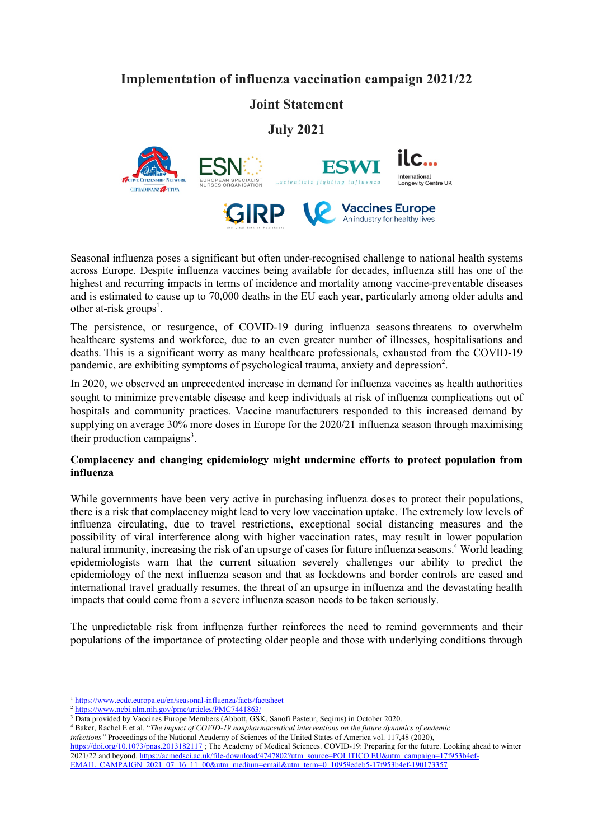# **Implementation of influenza vaccination campaign 2021/22**

## **Joint Statement**

**July 2021**



Seasonal influenza poses a significant but often under-recognised challenge to national health systems across Europe. Despite influenza vaccines being available for decades, influenza still has one of the highest and recurring impacts in terms of incidence and mortality among vaccine-preventable diseases and is estimated to cause up to 70,000 deaths in the EU each year, particularly among older adults and other at-risk groups<sup>1</sup>.

An industry for healthy lives

The persistence, or resurgence, of COVID-19 during influenza seasons threatens to overwhelm healthcare systems and workforce, due to an even greater number of illnesses, hospitalisations and deaths. This is a significant worry as many healthcare professionals, exhausted from the COVID-19 pandemic, are exhibiting symptoms of psychological trauma, anxiety and depression<sup>2</sup>.

In 2020, we observed an unprecedented increase in demand for influenza vaccines as health authorities sought to minimize preventable disease and keep individuals at risk of influenza complications out of hospitals and community practices. Vaccine manufacturers responded to this increased demand by supplying on average 30% more doses in Europe for the 2020/21 influenza season through maximising their production campaigns<sup>3</sup>.

### **Complacency and changing epidemiology might undermine efforts to protect population from influenza**

While governments have been very active in purchasing influenza doses to protect their populations, there is a risk that complacency might lead to very low vaccination uptake. The extremely low levels of influenza circulating, due to travel restrictions, exceptional social distancing measures and the possibility of viral interference along with higher vaccination rates, may result in lower population natural immunity, increasing the risk of an upsurge of cases for future influenza seasons.<sup>4</sup> World leading epidemiologists warn that the current situation severely challenges our ability to predict the epidemiology of the next influenza season and that as lockdowns and border controls are eased and international travel gradually resumes, the threat of an upsurge in influenza and the devastating health impacts that could come from a severe influenza season needs to be taken seriously.

The unpredictable risk from influenza further reinforces the need to remind governments and their populations of the importance of protecting older people and those with underlying conditions through

<sup>&</sup>lt;sup>1</sup> https://www.ecdc.europa.eu/en/seasonal-influenza/facts/factsheet

<sup>&</sup>lt;sup>2</sup> https://www.ncbi.nlm.nih.gov/pmc/articles/PMC7441863/

<sup>&</sup>lt;sup>3</sup> Data provided by Vaccines Europe Members (Abbott, GSK, Sanofi Pasteur, Seqirus) in October 2020.

<sup>4</sup> Baker, Rachel E et al. "*The impact of COVID-19 nonpharmaceutical interventions on the future dynamics of endemic* 

*infections"* Proceedings of the National Academy of Sciences of the United States of America vol. 117,48 (2020),

https://doi.org/10.1073/pnas.2013182117 ; The Academy of Medical Sciences. COVID-19: Preparing for the future. Looking ahead to winter 2021/22 and beyond. https://acmedsci.ac.uk/file-download/4747802?utm\_source=POLITICO.EU&utm\_campaign=17f953b4ef-EMAIL\_CAMPAIGN\_2021\_07\_16\_11\_00&utm\_medium=email&utm\_term=0\_10959edeb5-17f953b4ef-190173357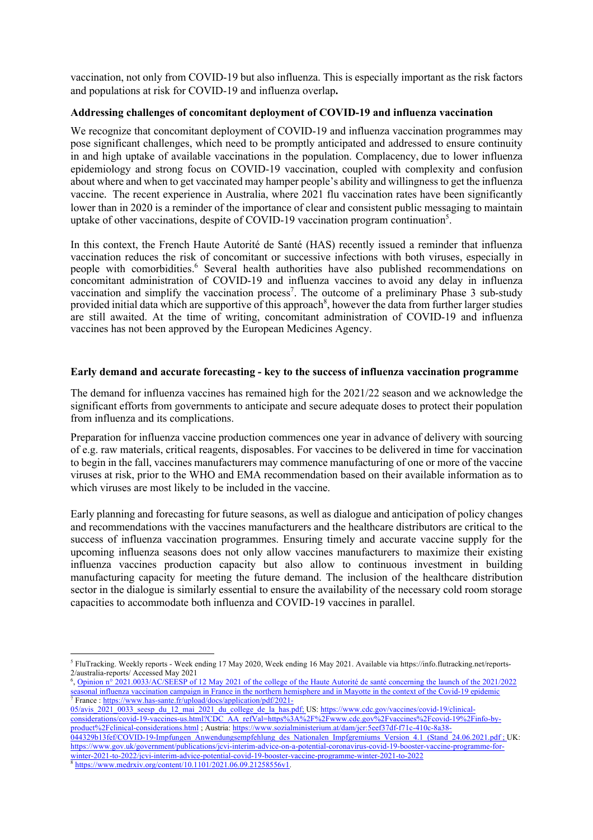vaccination, not only from COVID-19 but also influenza. This is especially important as the risk factors and populations at risk for COVID-19 and influenza overlap**.**

#### **Addressing challenges of concomitant deployment of COVID-19 and influenza vaccination**

We recognize that concomitant deployment of COVID-19 and influenza vaccination programmes may pose significant challenges, which need to be promptly anticipated and addressed to ensure continuity in and high uptake of available vaccinations in the population. Complacency, due to lower influenza epidemiology and strong focus on COVID-19 vaccination, coupled with complexity and confusion about where and when to get vaccinated may hamper people's ability and willingness to get the influenza vaccine. The recent experience in Australia, where 2021 flu vaccination rates have been significantly lower than in 2020 is a reminder of the importance of clear and consistent public messaging to maintain uptake of other vaccinations, despite of COVID-19 vaccination program continuation<sup>5</sup>.

In this context, the French Haute Autorité de Santé (HAS) recently issued a reminder that influenza vaccination reduces the risk of concomitant or successive infections with both viruses, especially in people with comorbidities.<sup>6</sup> Several health authorities have also published recommendations on concomitant administration of COVID-19 and influenza vaccines to avoid any delay in influenza vaccination and simplify the vaccination process<sup>7</sup>. The outcome of a preliminary Phase  $\overline{3}$  sub-study provided initial data which are supportive of this approach<sup>8</sup>, however the data from further larger studies are still awaited. At the time of writing, concomitant administration of COVID-19 and influenza vaccines has not been approved by the European Medicines Agency.

#### **Early demand and accurate forecasting - key to the success of influenza vaccination programme**

The demand for influenza vaccines has remained high for the 2021/22 season and we acknowledge the significant efforts from governments to anticipate and secure adequate doses to protect their population from influenza and its complications.

Preparation for influenza vaccine production commences one year in advance of delivery with sourcing of e.g. raw materials, critical reagents, disposables. For vaccines to be delivered in time for vaccination to begin in the fall, vaccines manufacturers may commence manufacturing of one or more of the vaccine viruses at risk, prior to the WHO and EMA recommendation based on their available information as to which viruses are most likely to be included in the vaccine.

Early planning and forecasting for future seasons, as well as dialogue and anticipation of policy changes and recommendations with the vaccines manufacturers and the healthcare distributors are critical to the success of influenza vaccination programmes. Ensuring timely and accurate vaccine supply for the upcoming influenza seasons does not only allow vaccines manufacturers to maximize their existing influenza vaccines production capacity but also allow to continuous investment in building manufacturing capacity for meeting the future demand. The inclusion of the healthcare distribution sector in the dialogue is similarly essential to ensure the availability of the necessary cold room storage capacities to accommodate both influenza and COVID-19 vaccines in parallel.

winter-2021-to-2022/jcvi-interim-advice-potential-covid-19-booster-vaccine-programme-winter-2021-to-2022

 $8 \text{ https://www.medrxiv.org/content/10.1101/2021.06.09.21258556v1.}$ 

<sup>5</sup> FluTracking. Weekly reports - Week ending 17 May 2020, Week ending 16 May 2021. Available via https://info.flutracking.net/reports-2/australia-reports/ Accessed May 2021

<sup>&</sup>lt;sup>6</sup>, Opinion n° 2021.0033/AC/SEESP of 12 May 2021 of the college of the Haute Autorité de santé concerning the launch of the 2021/2022 seasonal influenza vaccination campaign in France in the northern hemisphere and in Mayotte in the context of the Covid-19 epidemic <sup>7</sup> France : https://www.has-sante.fr/upload/docs/application/pdf/2021-

<sup>05/</sup>avis\_2021\_0033\_seesp\_du\_12\_mai\_2021\_du\_college\_de\_la\_has.pdf; US: https://www.cdc.gov/vaccines/covid-19/clinicalconsiderations/covid-19-vaccines-us.html?CDC\_AA\_refVal=https%3A%2F%2Fwww.cdc.gov%2Fvaccines%2Fcovid-19%2Finfo-byproduct%2Fclinical-considerations.html ; Austria: https://www.sozialministerium.at/dam/jcr:5eef37df-f71c-410c-8a38- 044329b13fef/COVID-19-Impfungen\_Anwendungsempfehlung\_des\_Nationalen\_Impfgremiums\_Version\_4.1\_(Stand\_24.06.2021.pdf; UK: https://www.gov.uk/government/publications/jcvi-interim-advice-on-a-potential-coronavirus-covid-19-booster-vaccine-programme-for-